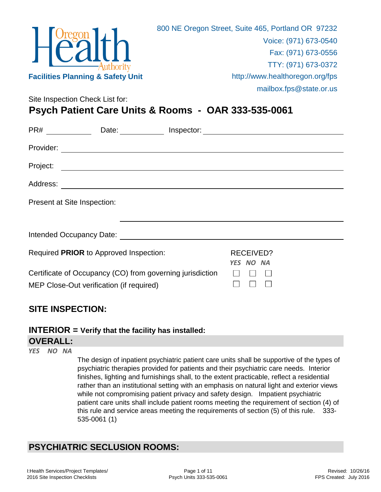

Site Inspection Check List for: **Psych Patient Care Units & Rooms - OAR 333-535-0061**

| PR#                         | Date: the contract of the contract of the contract of the contract of the contract of the contract of the contract of the contract of the contract of the contract of the contract of the contract of the contract of the cont      |           |  |
|-----------------------------|-------------------------------------------------------------------------------------------------------------------------------------------------------------------------------------------------------------------------------------|-----------|--|
| Provider:                   |                                                                                                                                                                                                                                     |           |  |
| Project:                    | <u> 1980 - Johann John Stone, markin sanadi a shekara 1980 - An an tsarani a shekara 1980 - An an tsara</u>                                                                                                                         |           |  |
| Address:                    | <u> 1989 - John Stein, Amerikaansk politiker (</u>                                                                                                                                                                                  |           |  |
| Present at Site Inspection: |                                                                                                                                                                                                                                     |           |  |
|                             |                                                                                                                                                                                                                                     |           |  |
|                             | Intended Occupancy Date: <b>All Accepts</b> 2014 12:00 12:00 12:00 12:00 12:00 12:00 12:00 12:00 12:00 12:00 12:00 12:00 12:00 12:00 12:00 12:00 12:00 12:00 12:00 12:00 12:00 12:00 12:00 12:00 12:00 12:00 12:00 12:00 12:00 12:0 |           |  |
|                             | Required PRIOR to Approved Inspection:                                                                                                                                                                                              | RECEIVED? |  |
|                             | Certificate of Occupancy (CO) from governing jurisdiction<br>MEP Close-Out verification (if required)                                                                                                                               | YES NO NA |  |

## **SITE INSPECTION:**

### **INTERIOR = Verify that the facility has installed:**

#### **OVERALL:**

*YES NO NA*

The design of inpatient psychiatric patient care units shall be supportive of the types of psychiatric therapies provided for patients and their psychiatric care needs. Interior finishes, lighting and furnishings shall, to the extent practicable, reflect a residential rather than an institutional setting with an emphasis on natural light and exterior views while not compromising patient privacy and safety design. Impatient psychiatric patient care units shall include patient rooms meeting the requirement of section (4) of this rule and service areas meeting the requirements of section (5) of this rule. 333- 535-0061 (1)

# **PSYCHIATRIC SECLUSION ROOMS:**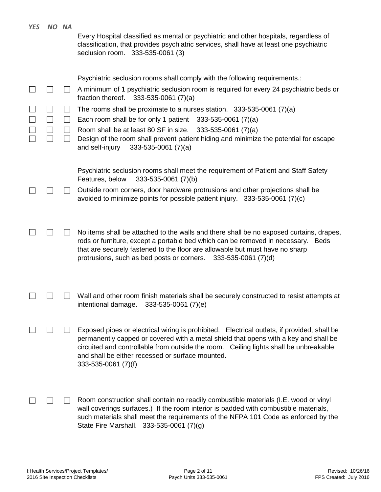| <b>YES</b> | NO NA |                | Every Hospital classified as mental or psychiatric and other hospitals, regardless of<br>classification, that provides psychiatric services, shall have at least one psychiatric<br>seclusion room. 333-535-0061 (3)                                                                                                                                    |
|------------|-------|----------------|---------------------------------------------------------------------------------------------------------------------------------------------------------------------------------------------------------------------------------------------------------------------------------------------------------------------------------------------------------|
|            |       |                | Psychiatric seclusion rooms shall comply with the following requirements.:<br>A minimum of 1 psychiatric seclusion room is required for every 24 psychiatric beds or<br>fraction thereof. $333-535-0061$ (7)(a)                                                                                                                                         |
|            |       | $\blacksquare$ | The rooms shall be proximate to a nurses station. $333-535-0061$ (7)(a)<br>Each room shall be for only 1 patient $333-535-0061$ (7)(a)<br>Room shall be at least 80 SF in size.<br>$333-535-0061(7)(a)$                                                                                                                                                 |
|            |       |                | Design of the room shall prevent patient hiding and minimize the potential for escape<br>and self-injury<br>$333 - 535 - 0061$ (7)(a)                                                                                                                                                                                                                   |
|            |       |                | Psychiatric seclusion rooms shall meet the requirement of Patient and Staff Safety<br>333-535-0061 (7)(b)<br>Features, below                                                                                                                                                                                                                            |
|            |       |                | Outside room corners, door hardware protrusions and other projections shall be<br>avoided to minimize points for possible patient injury. 333-535-0061 (7)(c)                                                                                                                                                                                           |
|            |       |                | No items shall be attached to the walls and there shall be no exposed curtains, drapes,<br>rods or furniture, except a portable bed which can be removed in necessary. Beds<br>that are securely fastened to the floor are allowable but must have no sharp<br>protrusions, such as bed posts or corners. $333-535-0061$ (7)(d)                         |
|            |       |                | Wall and other room finish materials shall be securely constructed to resist attempts at<br>intentional damage.<br>$333 - 535 - 0061$ (7)(e)                                                                                                                                                                                                            |
|            |       |                | Exposed pipes or electrical wiring is prohibited. Electrical outlets, if provided, shall be<br>permanently capped or covered with a metal shield that opens with a key and shall be<br>circuited and controllable from outside the room. Ceiling lights shall be unbreakable<br>and shall be either recessed or surface mounted.<br>333-535-0061 (7)(f) |
|            |       |                | Room construction shall contain no readily combustible materials (I.E. wood or vinyl<br>wall coverings surfaces.) If the room interior is padded with combustible materials,<br>such materials shall meet the requirements of the NFPA 101 Code as enforced by the<br>State Fire Marshall. 333-535-0061 (7)(g)                                          |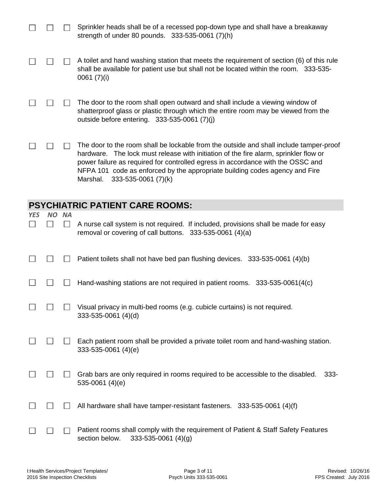|            |     |           | Sprinkler heads shall be of a recessed pop-down type and shall have a breakaway<br>strength of under 80 pounds. 333-535-0061 (7)(h)                                                                                                                                                                                                                                                 |
|------------|-----|-----------|-------------------------------------------------------------------------------------------------------------------------------------------------------------------------------------------------------------------------------------------------------------------------------------------------------------------------------------------------------------------------------------|
|            |     |           | A toilet and hand washing station that meets the requirement of section (6) of this rule<br>shall be available for patient use but shall not be located within the room. 333-535-<br>0061 $(7)(i)$                                                                                                                                                                                  |
|            |     |           | The door to the room shall open outward and shall include a viewing window of<br>shatterproof glass or plastic through which the entire room may be viewed from the<br>outside before entering. 333-535-0061 (7)(j)                                                                                                                                                                 |
|            |     |           | The door to the room shall be lockable from the outside and shall include tamper-proof<br>hardware. The lock must release with initiation of the fire alarm, sprinkler flow or<br>power failure as required for controlled egress in accordance with the OSSC and<br>NFPA 101 code as enforced by the appropriate building codes agency and Fire<br>Marshal.<br>333-535-0061 (7)(k) |
|            |     |           | <b>PSYCHIATRIC PATIENT CARE ROOMS:</b>                                                                                                                                                                                                                                                                                                                                              |
| <b>YES</b> | NO. | <b>NA</b> | A nurse call system is not required. If included, provisions shall be made for easy<br>removal or covering of call buttons. 333-535-0061 (4)(a)                                                                                                                                                                                                                                     |
|            |     |           |                                                                                                                                                                                                                                                                                                                                                                                     |
|            |     |           | Patient toilets shall not have bed pan flushing devices. 333-535-0061 (4)(b)                                                                                                                                                                                                                                                                                                        |
|            |     |           | Hand-washing stations are not required in patient rooms. 333-535-0061(4(c)                                                                                                                                                                                                                                                                                                          |
|            |     |           | Visual privacy in multi-bed rooms (e.g. cubicle curtains) is not required.<br>333-535-0061 (4)(d)                                                                                                                                                                                                                                                                                   |
|            |     |           | Each patient room shall be provided a private toilet room and hand-washing station.<br>333-535-0061 (4)(e)                                                                                                                                                                                                                                                                          |
|            |     |           | Grab bars are only required in rooms required to be accessible to the disabled.<br>$333 -$<br>535-0061 $(4)(e)$                                                                                                                                                                                                                                                                     |
|            |     |           | All hardware shall have tamper-resistant fasteners. 333-535-0061 (4)(f)                                                                                                                                                                                                                                                                                                             |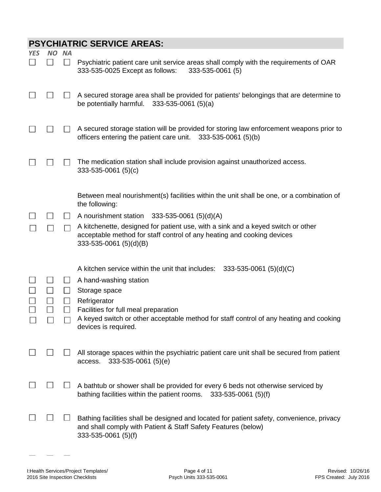|            |              |                     | <b>PSYCHIATRIC SERVICE AREAS:</b>                                                                                                                                                    |
|------------|--------------|---------------------|--------------------------------------------------------------------------------------------------------------------------------------------------------------------------------------|
| <b>YES</b> | <b>NO</b>    | <b>NA</b><br>$\Box$ | Psychiatric patient care unit service areas shall comply with the requirements of OAR<br>333-535-0025 Except as follows:<br>333-535-0061 (5)                                         |
|            |              |                     | A secured storage area shall be provided for patients' belongings that are determine to<br>be potentially harmful.<br>$333 - 535 - 0061$ (5)(a)                                      |
|            |              |                     | A secured storage station will be provided for storing law enforcement weapons prior to<br>officers entering the patient care unit. 333-535-0061 (5)(b)                              |
|            |              |                     | The medication station shall include provision against unauthorized access.<br>$333 - 535 - 0061$ (5)(c)                                                                             |
|            |              |                     | Between meal nourishment(s) facilities within the unit shall be one, or a combination of<br>the following:                                                                           |
|            |              | $\mathsf{L}$        | A nourishment station<br>$333 - 535 - 0061$ (5)(d)(A)                                                                                                                                |
|            |              |                     | A kitchenette, designed for patient use, with a sink and a keyed switch or other<br>acceptable method for staff control of any heating and cooking devices<br>333-535-0061 (5)(d)(B) |
|            |              |                     | A kitchen service within the unit that includes:<br>$333 - 535 - 0061$ (5)(d)(C)                                                                                                     |
|            |              | ⊔                   | A hand-washing station                                                                                                                                                               |
|            |              | $\Box$              | Storage space                                                                                                                                                                        |
|            | $\mathsf{L}$ |                     | Refrigerator                                                                                                                                                                         |
|            |              |                     | Facilities for full meal preparation                                                                                                                                                 |
|            |              |                     | A keyed switch or other acceptable method for staff control of any heating and cooking<br>devices is required.                                                                       |
|            |              |                     | All storage spaces within the psychiatric patient care unit shall be secured from patient<br>access.<br>333-535-0061 (5)(e)                                                          |
|            |              |                     | A bathtub or shower shall be provided for every 6 beds not otherwise serviced by<br>bathing facilities within the patient rooms.<br>333-535-0061 (5)(f)                              |
|            |              |                     | Bathing facilities shall be designed and located for patient safety, convenience, privacy<br>and shall comply with Patient & Staff Safety Features (below)<br>333-535-0061 (5)(f)    |

 $\sim$   $-$ 

 $\frac{1}{2}$ 

 $\overline{\phantom{m}}$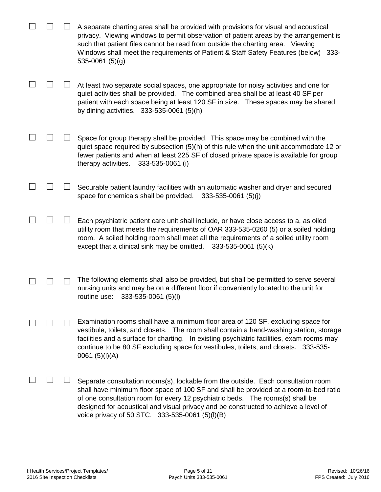|  | A separate charting area shall be provided with provisions for visual and acoustical<br>privacy. Viewing windows to permit observation of patient areas by the arrangement is<br>such that patient files cannot be read from outside the charting area. Viewing<br>Windows shall meet the requirements of Patient & Staff Safety Features (below) 333-<br>$535 - 0061$ (5)(g)                         |
|--|-------------------------------------------------------------------------------------------------------------------------------------------------------------------------------------------------------------------------------------------------------------------------------------------------------------------------------------------------------------------------------------------------------|
|  | At least two separate social spaces, one appropriate for noisy activities and one for<br>quiet activities shall be provided. The combined area shall be at least 40 SF per<br>patient with each space being at least 120 SF in size. These spaces may be shared<br>by dining activities. $333 - 535 - 0061$ (5)(h)                                                                                    |
|  | Space for group therapy shall be provided. This space may be combined with the<br>quiet space required by subsection (5)(h) of this rule when the unit accommodate 12 or<br>fewer patients and when at least 225 SF of closed private space is available for group<br>therapy activities.<br>333-535-0061 (i)                                                                                         |
|  | Securable patient laundry facilities with an automatic washer and dryer and secured<br>space for chemicals shall be provided.<br>$333 - 535 - 0061$ (5)(j)                                                                                                                                                                                                                                            |
|  | Each psychiatric patient care unit shall include, or have close access to a, as oiled<br>utility room that meets the requirements of OAR 333-535-0260 (5) or a soiled holding<br>room. A soiled holding room shall meet all the requirements of a soiled utility room<br>except that a clinical sink may be omitted.<br>333-535-0061 (5)(k)                                                           |
|  | The following elements shall also be provided, but shall be permitted to serve several<br>nursing units and may be on a different floor if conveniently located to the unit for<br>333-535-0061 (5)(l)<br>routine use:                                                                                                                                                                                |
|  | Examination rooms shall have a minimum floor area of 120 SF, excluding space for<br>vestibule, toilets, and closets. The room shall contain a hand-washing station, storage<br>facilities and a surface for charting. In existing psychiatric facilities, exam rooms may<br>continue to be 80 SF excluding space for vestibules, toilets, and closets. 333-535-<br>0061 $(5)(I)(A)$                   |
|  | Separate consultation rooms(s), lockable from the outside. Each consultation room<br>shall have minimum floor space of 100 SF and shall be provided at a room-to-bed ratio<br>of one consultation room for every 12 psychiatric beds. The rooms(s) shall be<br>designed for acoustical and visual privacy and be constructed to achieve a level of<br>voice privacy of 50 STC. 333-535-0061 (5)(I)(B) |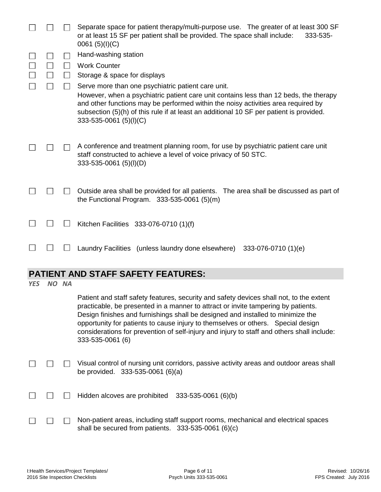|            |       |              | Separate space for patient therapy/multi-purpose use. The greater of at least 300 SF<br>or at least 15 SF per patient shall be provided. The space shall include:<br>333-535-<br>0061 $(5)(I)(C)$                                                                                                                                                     |
|------------|-------|--------------|-------------------------------------------------------------------------------------------------------------------------------------------------------------------------------------------------------------------------------------------------------------------------------------------------------------------------------------------------------|
|            |       |              | Hand-washing station                                                                                                                                                                                                                                                                                                                                  |
|            |       | $\mathbf{I}$ | <b>Work Counter</b>                                                                                                                                                                                                                                                                                                                                   |
|            |       |              | Storage & space for displays                                                                                                                                                                                                                                                                                                                          |
|            |       |              | Serve more than one psychiatric patient care unit.<br>However, when a psychiatric patient care unit contains less than 12 beds, the therapy<br>and other functions may be performed within the noisy activities area required by<br>subsection (5)(h) of this rule if at least an additional 10 SF per patient is provided.<br>333-535-0061 (5)(I)(C) |
|            |       |              | A conference and treatment planning room, for use by psychiatric patient care unit<br>staff constructed to achieve a level of voice privacy of 50 STC.<br>333-535-0061 (5)(I)(D)                                                                                                                                                                      |
|            |       |              | Outside area shall be provided for all patients. The area shall be discussed as part of<br>the Functional Program. $333-535-0061$ (5)(m)                                                                                                                                                                                                              |
|            |       |              | Kitchen Facilities 333-076-0710 (1)(f)                                                                                                                                                                                                                                                                                                                |
|            |       |              | Laundry Facilities (unless laundry done elsewhere) 333-076-0710 (1)(e)                                                                                                                                                                                                                                                                                |
|            |       |              | <b>PATIENT AND STAFF SAFETY FEATURES:</b>                                                                                                                                                                                                                                                                                                             |
| <b>YES</b> | NO NA |              |                                                                                                                                                                                                                                                                                                                                                       |
|            |       |              | Patient and staff safety features, security and safety devices shall not, to the extent<br>practicable, be presented in a manner to attract or invite tampering by patients.<br>Design finishes and furnishings shall be designed and installed to minimize the<br>opportunity for patients to cause injury to themselves or others. Special design   |

considerations for prevention of self-injury and injury to staff and others shall include: 333-535-0061 (6)

|  | □ □ Visual control of nursing unit corridors, passive activity areas and outdoor areas shall |
|--|----------------------------------------------------------------------------------------------|
|  | be provided. $333-535-0061$ (6)(a)                                                           |

| $\Box$ $\Box$ Hidden alcoves are prohibited 333-535-0061 (6)(b) |  |  |  |  |  |
|-----------------------------------------------------------------|--|--|--|--|--|
|-----------------------------------------------------------------|--|--|--|--|--|

|  |                                                       | □ □ Non-patient areas, including staff support rooms, mechanical and electrical spaces |
|--|-------------------------------------------------------|----------------------------------------------------------------------------------------|
|  | shall be secured from patients. $333-535-0061$ (6)(c) |                                                                                        |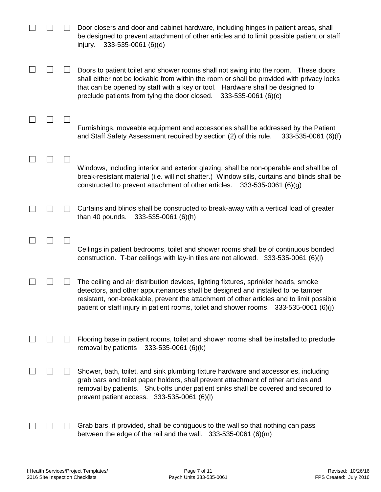|  | Door closers and door and cabinet hardware, including hinges in patient areas, shall<br>be designed to prevent attachment of other articles and to limit possible patient or staff<br>333-535-0061 (6)(d)<br>injury.                                                                                                                                         |
|--|--------------------------------------------------------------------------------------------------------------------------------------------------------------------------------------------------------------------------------------------------------------------------------------------------------------------------------------------------------------|
|  | Doors to patient toilet and shower rooms shall not swing into the room. These doors<br>shall either not be lockable from within the room or shall be provided with privacy locks<br>that can be opened by staff with a key or tool. Hardware shall be designed to<br>preclude patients from tying the door closed.<br>$333 - 535 - 0061$ (6)(c)              |
|  | Furnishings, moveable equipment and accessories shall be addressed by the Patient<br>and Staff Safety Assessment required by section (2) of this rule.<br>333-535-0061 (6)(f)                                                                                                                                                                                |
|  | Windows, including interior and exterior glazing, shall be non-operable and shall be of<br>break-resistant material (i.e. will not shatter.) Window sills, curtains and blinds shall be<br>constructed to prevent attachment of other articles.<br>$333 - 535 - 0061$ (6)(g)                                                                                 |
|  | Curtains and blinds shall be constructed to break-away with a vertical load of greater<br>than 40 pounds.<br>333-535-0061 (6)(h)                                                                                                                                                                                                                             |
|  | Ceilings in patient bedrooms, toilet and shower rooms shall be of continuous bonded<br>construction. T-bar ceilings with lay-in tiles are not allowed. 333-535-0061 (6)(i)                                                                                                                                                                                   |
|  | The ceiling and air distribution devices, lighting fixtures, sprinkler heads, smoke<br>detectors, and other appurtenances shall be designed and installed to be tamper<br>resistant, non-breakable, prevent the attachment of other articles and to limit possible<br>patient or staff injury in patient rooms, toilet and shower rooms. 333-535-0061 (6)(j) |
|  | Flooring base in patient rooms, toilet and shower rooms shall be installed to preclude<br>removal by patients<br>333-535-0061 (6)(k)                                                                                                                                                                                                                         |
|  | Shower, bath, toilet, and sink plumbing fixture hardware and accessories, including<br>grab bars and toilet paper holders, shall prevent attachment of other articles and<br>removal by patients. Shut-offs under patient sinks shall be covered and secured to<br>prevent patient access. 333-535-0061 (6)(l)                                               |
|  | Grab bars, if provided, shall be contiguous to the wall so that nothing can pass<br>between the edge of the rail and the wall. $333-535-0061$ (6)(m)                                                                                                                                                                                                         |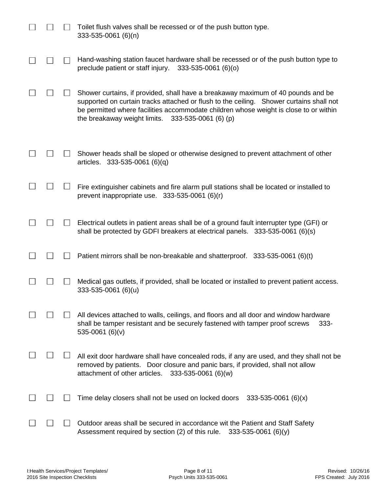|  | Toilet flush valves shall be recessed or of the push button type.<br>333-535-0061 (6)(n)                                                                                                                                                                                                                                     |
|--|------------------------------------------------------------------------------------------------------------------------------------------------------------------------------------------------------------------------------------------------------------------------------------------------------------------------------|
|  | Hand-washing station faucet hardware shall be recessed or of the push button type to<br>preclude patient or staff injury.<br>333-535-0061 (6)(o)                                                                                                                                                                             |
|  | Shower curtains, if provided, shall have a breakaway maximum of 40 pounds and be<br>supported on curtain tracks attached or flush to the ceiling. Shower curtains shall not<br>be permitted where facilities accommodate children whose weight is close to or within<br>the breakaway weight limits.<br>333-535-0061 (6) (p) |
|  | Shower heads shall be sloped or otherwise designed to prevent attachment of other<br>articles. 333-535-0061 (6)(q)                                                                                                                                                                                                           |
|  | Fire extinguisher cabinets and fire alarm pull stations shall be located or installed to<br>prevent inappropriate use. $333-535-0061$ (6)(r)                                                                                                                                                                                 |
|  | Electrical outlets in patient areas shall be of a ground fault interrupter type (GFI) or<br>shall be protected by GDFI breakers at electrical panels. 333-535-0061 (6)(s)                                                                                                                                                    |
|  | Patient mirrors shall be non-breakable and shatterproof. 333-535-0061 (6)(t)                                                                                                                                                                                                                                                 |
|  | Medical gas outlets, if provided, shall be located or installed to prevent patient access.<br>333-535-0061 (6)(u)                                                                                                                                                                                                            |
|  | All devices attached to walls, ceilings, and floors and all door and window hardware<br>shall be tamper resistant and be securely fastened with tamper proof screws<br>$333 -$<br>535-0061 (6)(v)                                                                                                                            |
|  | All exit door hardware shall have concealed rods, if any are used, and they shall not be<br>removed by patients. Door closure and panic bars, if provided, shall not allow<br>attachment of other articles.<br>333-535-0061 (6)(w)                                                                                           |
|  | Time delay closers shall not be used on locked doors<br>$333 - 535 - 0061$ (6)(x)                                                                                                                                                                                                                                            |
|  | Outdoor areas shall be secured in accordance wit the Patient and Staff Safety<br>Assessment required by section (2) of this rule.<br>$333 - 535 - 0061$ (6)(y)                                                                                                                                                               |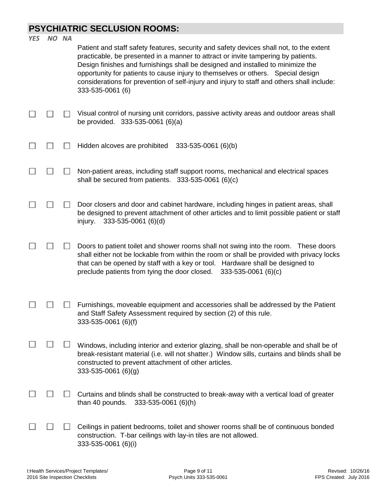# **PSYCHIATRIC SECLUSION ROOMS:**

| <b>YES</b> | NO NA | Patient and staff safety features, security and safety devices shall not, to the extent<br>practicable, be presented in a manner to attract or invite tampering by patients.<br>Design finishes and furnishings shall be designed and installed to minimize the<br>opportunity for patients to cause injury to themselves or others. Special design<br>considerations for prevention of self-injury and injury to staff and others shall include:<br>333-535-0061 (6) |
|------------|-------|-----------------------------------------------------------------------------------------------------------------------------------------------------------------------------------------------------------------------------------------------------------------------------------------------------------------------------------------------------------------------------------------------------------------------------------------------------------------------|
|            |       | Visual control of nursing unit corridors, passive activity areas and outdoor areas shall<br>be provided. 333-535-0061 (6)(a)                                                                                                                                                                                                                                                                                                                                          |
|            |       | Hidden alcoves are prohibited<br>333-535-0061 (6)(b)                                                                                                                                                                                                                                                                                                                                                                                                                  |
|            |       | Non-patient areas, including staff support rooms, mechanical and electrical spaces<br>shall be secured from patients. $333-535-0061$ (6)(c)                                                                                                                                                                                                                                                                                                                           |
|            |       | Door closers and door and cabinet hardware, including hinges in patient areas, shall<br>be designed to prevent attachment of other articles and to limit possible patient or staff<br>$333 - 535 - 0061$ (6)(d)<br>injury.                                                                                                                                                                                                                                            |
|            |       | Doors to patient toilet and shower rooms shall not swing into the room. These doors<br>shall either not be lockable from within the room or shall be provided with privacy locks<br>that can be opened by staff with a key or tool. Hardware shall be designed to<br>preclude patients from tying the door closed.<br>$333 - 535 - 0061$ (6)(c)                                                                                                                       |
|            |       | Furnishings, moveable equipment and accessories shall be addressed by the Patient<br>and Staff Safety Assessment required by section (2) of this rule.<br>333-535-0061 (6)(f)                                                                                                                                                                                                                                                                                         |
|            |       | Windows, including interior and exterior glazing, shall be non-operable and shall be of<br>break-resistant material (i.e. will not shatter.) Window sills, curtains and blinds shall be<br>constructed to prevent attachment of other articles.<br>$333 - 535 - 0061$ (6)(g)                                                                                                                                                                                          |
|            |       | Curtains and blinds shall be constructed to break-away with a vertical load of greater<br>than 40 pounds.<br>333-535-0061 (6)(h)                                                                                                                                                                                                                                                                                                                                      |
|            |       | Ceilings in patient bedrooms, toilet and shower rooms shall be of continuous bonded<br>construction. T-bar ceilings with lay-in tiles are not allowed.<br>333-535-0061 (6)(i)                                                                                                                                                                                                                                                                                         |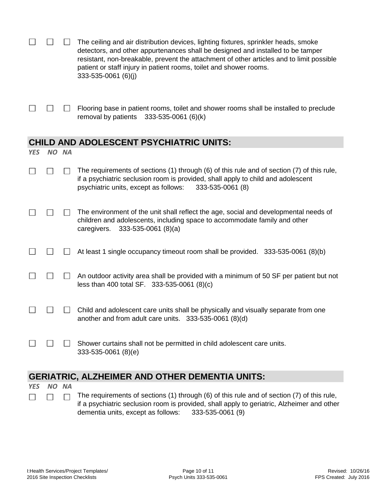|                                                       |           |           | The ceiling and air distribution devices, lighting fixtures, sprinkler heads, smoke<br>detectors, and other appurtenances shall be designed and installed to be tamper<br>resistant, non-breakable, prevent the attachment of other articles and to limit possible<br>patient or staff injury in patient rooms, toilet and shower rooms.<br>333-535-0061 (6)(j) |  |  |  |
|-------------------------------------------------------|-----------|-----------|-----------------------------------------------------------------------------------------------------------------------------------------------------------------------------------------------------------------------------------------------------------------------------------------------------------------------------------------------------------------|--|--|--|
|                                                       |           |           | Flooring base in patient rooms, toilet and shower rooms shall be installed to preclude<br>removal by patients<br>333-535-0061 (6)(k)                                                                                                                                                                                                                            |  |  |  |
| <b>CHILD AND ADOLESCENT PSYCHIATRIC UNITS:</b>        |           |           |                                                                                                                                                                                                                                                                                                                                                                 |  |  |  |
| <b>YES</b>                                            | <b>NO</b> | <b>NA</b> |                                                                                                                                                                                                                                                                                                                                                                 |  |  |  |
|                                                       |           |           | The requirements of sections (1) through (6) of this rule and of section (7) of this rule,<br>if a psychiatric seclusion room is provided, shall apply to child and adolescent<br>psychiatric units, except as follows:<br>333-535-0061 (8)                                                                                                                     |  |  |  |
|                                                       |           |           | The environment of the unit shall reflect the age, social and developmental needs of<br>children and adolescents, including space to accommodate family and other<br>$333-535-0061(8)(a)$<br>caregivers.                                                                                                                                                        |  |  |  |
|                                                       |           |           | At least 1 single occupancy timeout room shall be provided. 333-535-0061 (8)(b)                                                                                                                                                                                                                                                                                 |  |  |  |
|                                                       |           |           | An outdoor activity area shall be provided with a minimum of 50 SF per patient but not<br>less than 400 total SF. 333-535-0061 (8)(c)                                                                                                                                                                                                                           |  |  |  |
|                                                       |           |           | Child and adolescent care units shall be physically and visually separate from one<br>another and from adult care units. 333-535-0061 (8)(d)                                                                                                                                                                                                                    |  |  |  |
|                                                       |           | $\perp$   | Shower curtains shall not be permitted in child adolescent care units.<br>333-535-0061 (8)(e)                                                                                                                                                                                                                                                                   |  |  |  |
| <b>GERIATRIC, ALZHEIMER AND OTHER DEMENTIA UNITS:</b> |           |           |                                                                                                                                                                                                                                                                                                                                                                 |  |  |  |

*YES NO NA*  $\Box$ 

 $\Box$ 

The requirements of sections (1) through (6) of this rule and of section (7) of this rule,  $\Box$ if a psychiatric seclusion room is provided, shall apply to geriatric, Alzheimer and other dementia units, except as follows: 333-535-0061 (9)